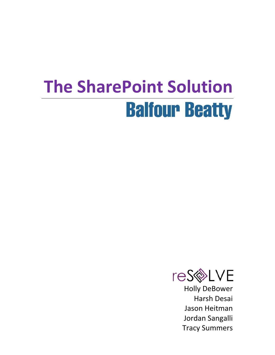## **The SharePoint SolutionBalfour Beatty**



Holly DeBower Harsh Desai Jason Heitman Jordan Sangalli Tracy Summers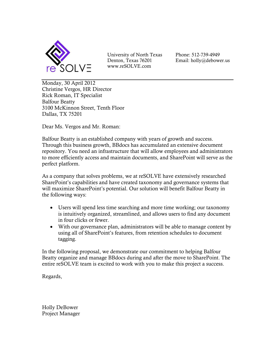

University of North Texas Denton, Texas 76201 www.reSOLVE.com

Phone: 512-739-4949 Email: holly@debower.us

Monday, 30 April 2012 Christine Vergos, HR Director Rick Roman, IT Specialist Balfour Beatty 3100 McKinnon Street, Tenth Floor Dallas, TX 75201

Dear Ms. Vergos and Mr. Roman:

Balfour Beatty is an established company with years of growth and success. Through this business growth, BBdocs has accumulated an extensive document repository. You need an infrastructure that will allow employees and administrators to more efficiently access and maintain documents, and SharePoint will serve as the perfect platform.

As a company that solves problems, we at reSOLVE have extensively researched SharePoint's capabilities and have created taxonomy and governance systems that will maximize SharePoint's potential. Our solution will benefit Balfour Beatty in the following ways:

- Users will spend less time searching and more time working; our taxonomy is intuitively organized, streamlined, and allows users to find any document in four clicks or fewer.
- With our governance plan, administrators will be able to manage content by using all of SharePoint's features, from retention schedules to document tagging.

In the following proposal, we demonstrate our commitment to helping Balfour Beatty organize and manage BBdocs during and after the move to SharePoint. The entire reSOLVE team is excited to work with you to make this project a success.

Regards,

Holly DeBower Project Manager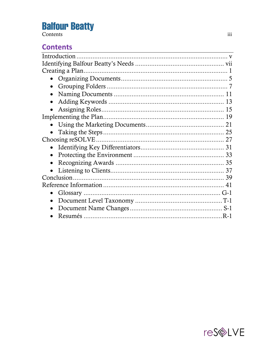#### **Contents**

| $\bullet$  |  |
|------------|--|
|            |  |
|            |  |
|            |  |
|            |  |
|            |  |
|            |  |
|            |  |
|            |  |
| $\bullet$  |  |
|            |  |
| Conclusion |  |
|            |  |
|            |  |
|            |  |
|            |  |
|            |  |

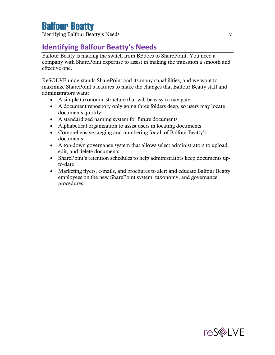Identifying Balfour Beatty's Needs v

#### **Identifying Balfour Beatty's Needs**

Balfour Beatty is making the switch from BBdocs to SharePoint. You need a company with SharePoint expertise to assist in making the transition a smooth and effective one.

ReSOLVE understands SharePoint and its many capabilities, and we want to maximize SharePoint's features to make the changes that Balfour Beatty staff and administrators want:

- A simple taxonomic structure that will be easy to navigate
- A document repository only going three folders deep, so users may locate documents quickly
- A standardized naming system for future documents
- Alphabetical organization to assist users in locating documents
- Comprehensive tagging and numbering for all of Balfour Beatty's documents
- A top-down governance system that allows select administrators to upload, edit, and delete documents
- SharePoint's retention schedules to help administrators keep documents upto-date
- Marketing flyers, e-mails, and brochures to alert and educate Balfour Beatty employees on the new SharePoint system, taxonomy, and governance procedures



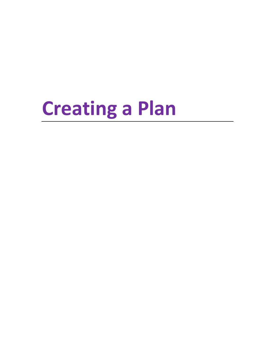## **Creating a Plan**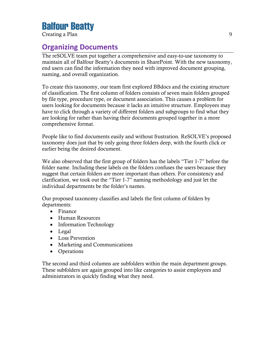Creating a Plan 9

#### **Organizing Documents**

The reSOLVE team put together a comprehensive and easy-to-use taxonomy to maintain all of Balfour Beatty's documents in SharePoint. With the new taxonomy, end users can find the information they need with improved document grouping, naming, and overall organization.

To create this taxonomy, our team first explored BBdocs and the existing structure of classification. The first column of folders consists of seven main folders grouped by file type, procedure type, or document association. This causes a problem for users looking for documents because it lacks an intuitive structure. Employees may have to click through a variety of different folders and subgroups to find what they are looking for rather than having their documents grouped together in a more comprehensive format.

People like to find documents easily and without frustration. ReSOLVE's proposed taxonomy does just that by only going three folders deep, with the fourth click or earlier being the desired document.

We also observed that the first group of folders has the labels "Tier 1-7" before the folder name. Including these labels on the folders confuses the users because they suggest that certain folders are more important than others. For consistency and clarification, we took out the "Tier 1-7" naming methodology and just let the individual departments be the folder's names.

Our proposed taxonomy classifies and labels the first column of folders by departments:

- Finance
- Human Resources
- Information Technology
- Legal
- Loss Prevention
- Marketing and Communications
- Operations

The second and third columns are subfolders within the main department groups. These subfolders are again grouped into like categories to assist employees and administrators in quickly finding what they need.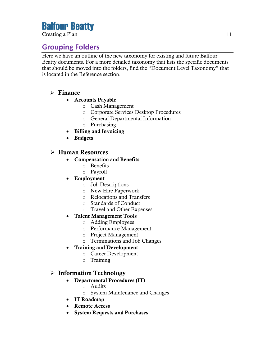Creating a Plan 11

#### **Grouping Folders**

Here we have an outline of the new taxonomy for existing and future Balfour Beatty documents. For a more detailed taxonomy that lists the specific documents that should be moved into the folders, find the "Document Level Taxonomy" that is located in the Reference section.

#### **Finance**

- **Accounts Payable** 
	- o Cash Management
	- o Corporate Services Desktop Procedures
	- o General Departmental Information
	- o Purchasing
- **Billing and Invoicing**
- **Budgets**

#### **Human Resources**

- **Compensation and Benefits**
	- o Benefits
	- o Payroll
- **Employment**
	- o Job Descriptions
	- o New Hire Paperwork
	- o Relocations and Transfers
	- o Standards of Conduct
	- o Travel and Other Expenses
- **Talent Management Tools**
	- o Adding Employees
	- o Performance Management
	- o Project Management
	- o Terminations and Job Changes
- **Training and Development**
	- o Career Development
	- o Training

#### **Information Technology**

- **Departmental Procedures (IT)**
	- o Audits
	- o System Maintenance and Changes
- **IT Roadmap**
- **Remote Access**
- **System Requests and Purchases**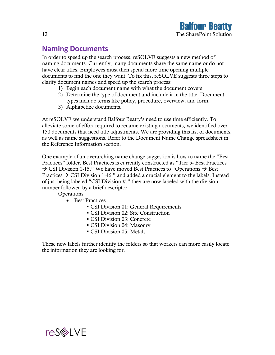#### **Naming Documents**

In order to speed up the search process, reSOLVE suggests a new method of naming documents. Currently, many documents share the same name or do not have clear titles. Employees must then spend more time opening multiple documents to find the one they want. To fix this, reSOLVE suggests three steps to clarify document names and speed up the search process:

- 1) Begin each document name with what the document covers.
- 2) Determine the type of document and include it in the title. Document types include terms like policy, procedure, overview, and form.
- 3) Alphabetize documents.

At reSOLVE we understand Balfour Beatty's need to use time efficiently. To alleviate some of effort required to rename existing documents, we identified over 150 documents that need title adjustments. We are providing this list of documents, as well as name suggestions. Refer to the Document Name Change spreadsheet in the Reference Information section.

One example of an overarching name change suggestion is how to name the "Best Practices" folder. Best Practices is currently constructed as "Tier 5- Best Practices  $\rightarrow$  CSI Division 1-15." We have moved Best Practices to "Operations  $\rightarrow$  Best Practices  $\rightarrow$  CSI Division 1-46," and added a crucial element to the labels. Instead of just being labeled "CSI Division #," they are now labeled with the division number followed by a brief descriptor:

**Operations** 

- Best Practices
	- **CSI Division 01: General Requirements**
	- CSI Division 02: Site Construction
	- CSI Division 03: Concrete
	- CSI Division 04: Masonry
	- CSI Division 05: Metals

These new labels further identify the folders so that workers can more easily locate the information they are looking for.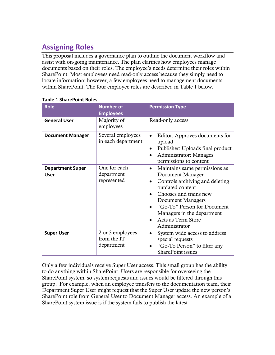#### **Assigning Roles**

This proposal includes a governance plan to outline the document workflow and assist with on-going maintenance. The plan clarifies how employees manage documents based on their roles. The employee's needs determine their roles within SharePoint. Most employees need read-only access because they simply need to locate information; however, a few employees need to management documents within SharePoint. The four employee roles are described in Table 1 below.

| Role                            | <b>Number of</b><br><b>Employees</b>          | <b>Permission Type</b>                                                                                                                                                                                                                                                                |
|---------------------------------|-----------------------------------------------|---------------------------------------------------------------------------------------------------------------------------------------------------------------------------------------------------------------------------------------------------------------------------------------|
| <b>General User</b>             | Majority of<br>employees                      | Read-only access                                                                                                                                                                                                                                                                      |
| <b>Document Manager</b>         | Several employees<br>in each department       | Editor: Approves documents for<br>$\bullet$<br>upload<br>Publisher: Uploads final product<br>Administrator: Manages<br>permissions to content                                                                                                                                         |
| <b>Department Super</b><br>User | One for each<br>department<br>represented     | Maintains same permissions as<br>$\bullet$<br>Document Manager<br>Controls archiving and deleting<br>$\bullet$<br>outdated content<br>Chooses and trains new<br>Document Managers<br>"Go-To" Person for Document<br>Managers in the department<br>Acts as Term Store<br>Administrator |
| <b>Super User</b>               | 2 or 3 employees<br>from the IT<br>department | System wide access to address<br>$\bullet$<br>special requests<br>"Go-To Person" to filter any<br><b>SharePoint issues</b>                                                                                                                                                            |

#### **Table 1 SharePoint Roles**

Only a few individuals receive Super User access. This small group has the ability to do anything within SharePoint. Users are responsible for overseeing the SharePoint system, so system requests and issues would be filtered through this group. For example, when an employee transfers to the documentation team, their Department Super User might request that the Super User update the new person's SharePoint role from General User to Document Manager access. An example of a SharePoint system issue is if the system fails to publish the latest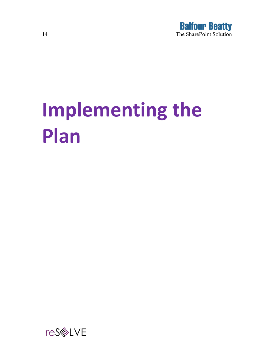

# **Implementing the Plan**

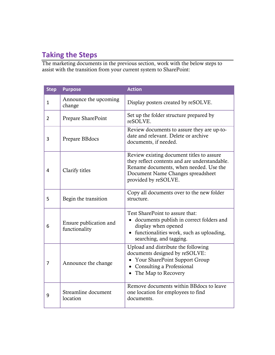#### **Taking the Steps**

The marketing documents in the previous section, work with the below steps to assist with the transition from your current system to SharePoint:

| <b>Step</b>    | <b>Purpose</b>                          | <b>Action</b>                                                                                                                                                                                     |
|----------------|-----------------------------------------|---------------------------------------------------------------------------------------------------------------------------------------------------------------------------------------------------|
| 1              | Announce the upcoming<br>change         | Display posters created by reSOLVE.                                                                                                                                                               |
| $\overline{2}$ | Prepare SharePoint                      | Set up the folder structure prepared by<br>reSOLVE.                                                                                                                                               |
| 3              | Prepare BBdocs                          | Review documents to assure they are up-to-<br>date and relevant. Delete or archive<br>documents, if needed.                                                                                       |
| 4              | Clarify titles                          | Review existing document titles to assure<br>they reflect contents and are understandable.<br>Rename documents, when needed. Use the<br>Document Name Changes spreadsheet<br>provided by reSOLVE. |
| 5              | Begin the transition                    | Copy all documents over to the new folder<br>structure.                                                                                                                                           |
| 6              | Ensure publication and<br>functionality | Test SharePoint to assure that:<br>documents publish in correct folders and<br>display when opened<br>functionalities work, such as uploading,<br>searching, and tagging.                         |
| 7              | Announce the change                     | Upload and distribute the following<br>documents designed by reSOLVE:<br>Your SharePoint Support Group<br>$\bullet$<br>• Consulting a Professional<br>The Map to Recovery                         |
| 9              | Streamline document<br>location         | Remove documents within BBdocs to leave<br>one location for employees to find<br>documents.                                                                                                       |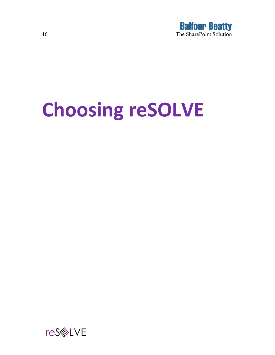

# **Choosing reSOLVE**

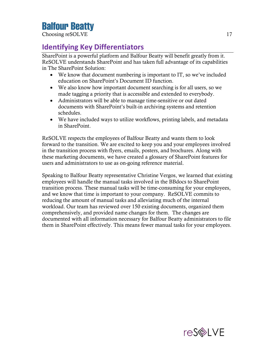Choosing reSOLVE 17

#### **Identifying Key Differentiators**

SharePoint is a powerful platform and Balfour Beatty will benefit greatly from it. ReSOLVE understands SharePoint and has taken full advantage of its capabilities in The SharePoint Solution:

- We know that document numbering is important to IT, so we've included education on SharePoint's Document ID function.
- We also know how important document searching is for all users, so we made tagging a priority that is accessible and extended to everybody.
- Administrators will be able to manage time-sensitive or out dated documents with SharePoint's built-in archiving systems and retention schedules.
- We have included ways to utilize workflows, printing labels, and metadata in SharePoint.

ReSOLVE respects the employees of Balfour Beatty and wants them to look forward to the transition. We are excited to keep you and your employees involved in the transition process with flyers, emails, posters, and brochures. Along with these marketing documents, we have created a glossary of SharePoint features for users and administrators to use as on-going reference material.

Speaking to Balfour Beatty representative Christine Vergos, we learned that existing employees will handle the manual tasks involved in the BBdocs to SharePoint transition process. These manual tasks will be time-consuming for your employees, and we know that time is important to your company. ReSOLVE commits to reducing the amount of manual tasks and alleviating much of the internal workload. Our team has reviewed over 150 existing documents, organized them comprehensively, and provided name changes for them. The changes are documented with all information necessary for Balfour Beatty administrators to file them in SharePoint effectively. This means fewer manual tasks for your employees.

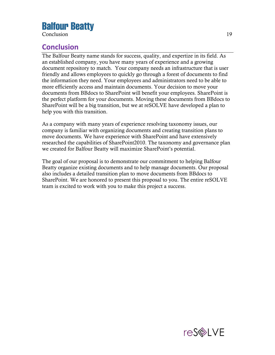Conclusion 19

#### **Conclusion**

The Balfour Beatty name stands for success, quality, and expertize in its field. As an established company, you have many years of experience and a growing document repository to match. Your company needs an infrastructure that is user friendly and allows employees to quickly go through a forest of documents to find the information they need. Your employees and administrators need to be able to more efficiently access and maintain documents. Your decision to move your documents from BBdocs to SharePoint will benefit your employees. SharePoint is the perfect platform for your documents. Moving these documents from BBdocs to SharePoint will be a big transition, but we at reSOLVE have developed a plan to help you with this transition.

As a company with many years of experience resolving taxonomy issues, our company is familiar with organizing documents and creating transition plans to move documents. We have experience with SharePoint and have extensively researched the capabilities of SharePoint2010. The taxonomy and governance plan we created for Balfour Beatty will maximize SharePoint's potential.

The goal of our proposal is to demonstrate our commitment to helping Balfour Beatty organize existing documents and to help manage documents. Our proposal also includes a detailed transition plan to move documents from BBdocs to SharePoint. We are honored to present this proposal to you. The entire reSOLVE team is excited to work with you to make this project a success.